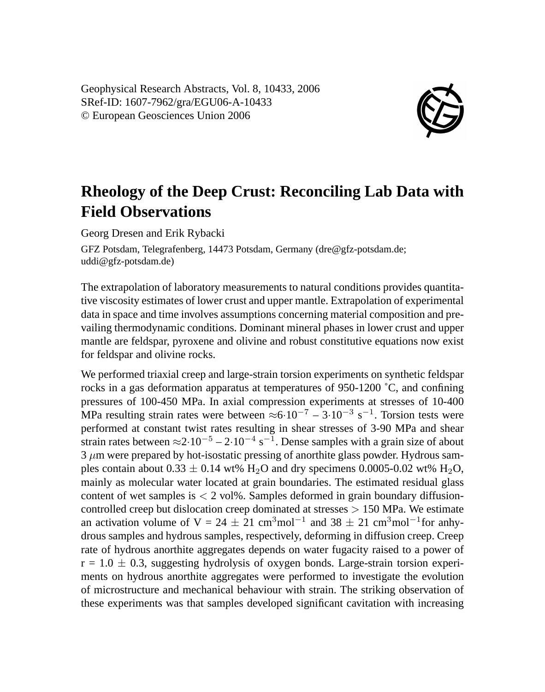Geophysical Research Abstracts, Vol. 8, 10433, 2006 SRef-ID: 1607-7962/gra/EGU06-A-10433 © European Geosciences Union 2006



## **Rheology of the Deep Crust: Reconciling Lab Data with Field Observations**

Georg Dresen and Erik Rybacki

GFZ Potsdam, Telegrafenberg, 14473 Potsdam, Germany (dre@gfz-potsdam.de; uddi@gfz-potsdam.de)

The extrapolation of laboratory measurements to natural conditions provides quantitative viscosity estimates of lower crust and upper mantle. Extrapolation of experimental data in space and time involves assumptions concerning material composition and prevailing thermodynamic conditions. Dominant mineral phases in lower crust and upper mantle are feldspar, pyroxene and olivine and robust constitutive equations now exist for feldspar and olivine rocks.

We performed triaxial creep and large-strain torsion experiments on synthetic feldspar rocks in a gas deformation apparatus at temperatures of 950-1200 ˚C, and confining pressures of 100-450 MPa. In axial compression experiments at stresses of 10-400 MPa resulting strain rates were between  $\approx 6 \cdot 10^{-7} - 3 \cdot 10^{-3}$  s<sup>-1</sup>. Torsion tests were performed at constant twist rates resulting in shear stresses of 3-90 MPa and shear strain rates between  $\approx$ 2·10<sup>-5</sup> – 2·10<sup>-4</sup> s<sup>-1</sup>. Dense samples with a grain size of about  $3 \mu$ m were prepared by hot-isostatic pressing of anorthite glass powder. Hydrous samples contain about  $0.33 \pm 0.14$  wt% H<sub>2</sub>O and dry specimens  $0.0005$ -0.02 wt% H<sub>2</sub>O, mainly as molecular water located at grain boundaries. The estimated residual glass content of wet samples is  $\langle 2 \text{ vol}\%$ . Samples deformed in grain boundary diffusioncontrolled creep but dislocation creep dominated at stresses  $> 150$  MPa. We estimate an activation volume of V = 24  $\pm$  21 cm<sup>3</sup>mol<sup>-1</sup> and 38  $\pm$  21 cm<sup>3</sup>mol<sup>-1</sup>for anhydrous samples and hydrous samples, respectively, deforming in diffusion creep. Creep rate of hydrous anorthite aggregates depends on water fugacity raised to a power of  $r = 1.0 \pm 0.3$ , suggesting hydrolysis of oxygen bonds. Large-strain torsion experiments on hydrous anorthite aggregates were performed to investigate the evolution of microstructure and mechanical behaviour with strain. The striking observation of these experiments was that samples developed significant cavitation with increasing